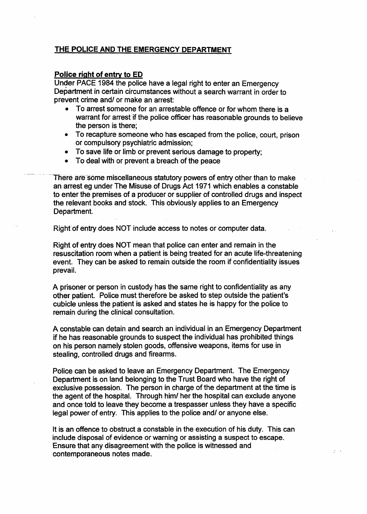# THE POLICE AND THE EMERGENCY DEPARTMENT

## Police right of entry to ED

Under PACE 1984 the police have a legal right to enter an Emergency Department in certain circumstances without a search warrant in order to prevent crime and/ or make an arrest:

- To arrest someone for an arrestable offence or for whom there is a warrant for arrest if the police officer has reasonable grounds to believe the person is there;
- To recapture someone who has escaped from the police, court, prison or compulsory psychiatric admission;
- To save life or limb or prevent serious damage to property;
- To deal with or prevent a breach of the peace

There are some miscellaneous statutory powers of entry-other than to make an arrest eg under The Misuse of Drugs Act 1971 which enables a constable to enter the premises of a producer or supplier of controlled drugs and inspect the relevant books and stock. This obviously applies to an Emergency Department.

Right of entry does NOT include access to notes or computer data.

Right of entry does NOT mean that police can enter and remain in the resuscitation room when a patient is being treated for an acute life-threatening event. They can be asked to remain outside the room if confidentiality issues prevail.

A prisoner or person in custody has the same right to confidentiality as any other patient. Police must therefore be asked to step outside the patient's cubicle unless the patient is asked and states he is happy for the police to remain during the clinical consultation.

A constable can detain and search an individual in an Emergency Department if he has reasonable grounds to suspect the individual has prohibited things on his person namely stolen goods, offensive weapons, items for use in stealing, controlled drugs and firearms.

Police can be asked to leave an Emergency Department. The Emergency Department is on land belonging to the Trust Board who have the right of exclusive possession. The person in charge of the department at the time is the agent of the hospital. Through him/ her the hospital can exclude anyone and once told to leave they become a trespasser unless they have a specific legal power of entry. This applies to the police and/ or anyone else.

It is an offence to obstruct a constable in the execution of his duty. This can include disposal of evidence or warning or assisting a suspect to escape. Ensure that any disagreement with the police is witnessed and contemporaneous notes made.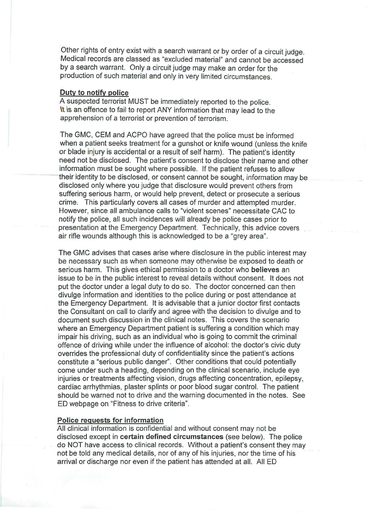Other rights of entry exist with a search warrant or by order of a circuit judge. Medical records are classed as "excluded material" and cannot be accessed by a search warrant. Only a circuit judge may make an order for the production of such material and only in very limited circumstances.

## **Duty to notify police**

A suspected terrorist MUST be immediately reported to the police. It is an offence to fail to report ANY information that may lead to the apprehension of a terrorist or prevention of terrorism.

The GMC, CEM and ACPO have agreed that the police must be informed when a patient seeks treatment for a gunshot or knife wound (unless the knife or blade injury is accidental or a result of self harm). The patient's identity need not be disclosed. The patient's consent to disclose their name and other information must be sought where possible. If the patient refuses to allow their identity to be disclosed, or consent cannot be sought, information may be disclosed only where you judge that disclosure would prevent others from suffering serious harm, or would help prevent, detect or prosecute a serious crime. This particularly covers all cases of murder and attempted murder. However, since all ambulance calls to "violent scenes" necessitate CAC to notify the police, all such incidences will already be police cases prior to presentation at the Emergency Department. Technically, this advice covers air rifle wounds although this is acknowledged to be a "grey area".

The GMC advises that cases arise where disclosure in the public interest may be necessary such as when someone may otherwise be exposed to death or serious harm. This gives ethical permission to a doctor who **believes** an issue to be in the public interest *to* reveal details without consent. It does not put the doctor under a legal duty *to* do so. The doctor concerned can then divulge information and identities to the police during or post attendance at the Emergency Department. It is advisable that a junior doctor first contacts the Consultant on call to clarify and agree with the decision to divulge and to document such discussion in the clinical notes. This covers the scenario where an Emergency Department patient is suffering a condition which may impair his driving, such as an individual who is going to commit the criminal offence of driving while under the influence of alcohol: the doctor's civic duty overrides the professional duty of confidentiality since the patient's actions constitute a "serious public danger". Other conditions that could potentially come under such a heading, depending on the clinical scenario, include eye injuries or treatments affecting vision, drugs affecting concentration, epilepsy, cardiac arrhythmias, plaster splints or poor blood sugar control. The patient should be warned not to drive and the warning documented in the notes. See ED webpage on "Fitness to drive criteria".

## **Police requests for information**

All clinical information is confidential and without consent may not be disclosed except in **certain defined circumstances** (see below). The police do NOT have access to clinical records. Without a patient's consent they may not be told any medical details, nor of any of his injuries, nor the time of his arrival or discharge nor even if the patient has attended at all. All ED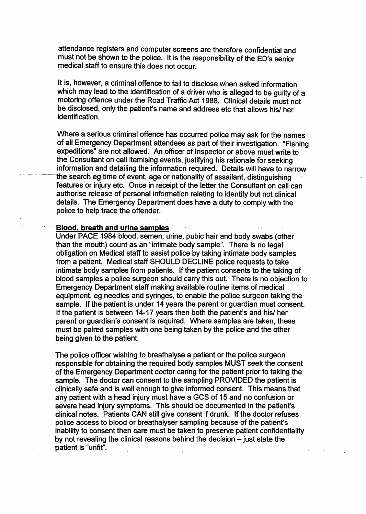attendance registers and computer screens are therefore confidential and must not be shown to the police. It is the responsibility of the ED's senior medical staff to ensure this does not occur.

It is, however, a criminal offence to fail to disclose when asked information which may lead to the identification of a driver who is alleged to be guilty of a motoring offence under the Road Traffic Act 1988. Clinical details must not be disclosed, only the patient's name and address etc that allows his/ her identification.

Where a serious criminal offence has occurred police may ask for the names of all Emergency Department attendees as part of their investigation. "Fishing expeditions" are not allowed. An officer of Inspector or above must write to the Consultant on call itemising events, justifying his rationale for seeking information and detailing the information required. Details will have to narrow the search eg time of event, age or nationality of assailant, distinguishing features or injury etc. Once in receipt of the letter the Consultant on call can authorise release of personal information relating to identity but not clinical details. The Emergency Department does have a duty to comply with the police to help trace the offender.

### Blood, breath and urine samples

Under PACE 1984 blood, semen, urine, pubic hair and body swabs (other than the mouth) count as an "intimate body sample". There is no legal obligation on Medical staff to assist police by taking intimate body samples from a patient. Medical staff SHOULD DECLINE police requests to take intimate body samples from patients. If the patient consents to the taking of blood samples a police surgeon should carry this out. There is no objection to Emergency Department staff making available routine items of medical equipment, eg needles and syringes, to enable the police surgeon taking the sample. If the patient is under 14 years the parent or guardian must consent. If the patient is between 14-17 years then both the patient's and his/ her parent or guardian's consent is required. Where samples are taken, these must be paired samples with one being taken by the police and the other being given to the patient.

The police officer wishing to breathalyse a patient or the police surgeon responsible for obtaining the required body samples MUST seek the consent of the Emergency Department doctor caring for the patient prior to taking the sample. The doctor can consent to the sampling PROVIDED the patient is clinically safe and is well enough to give informed consent. This means that any patient with a head injury must have a GCS of 15 and no confusion or severe head injury symptoms. This should be documented in the patient's clinical notes. Patients CAN still give consent if drunk. If the doctor refuses police access to blood or breathalyser sampling because of the patient's inability to consent then care must be taken to preserve patient confidentiality by not revealing the clinical reasons behind the decision  $-$  just state the patient is "unfit".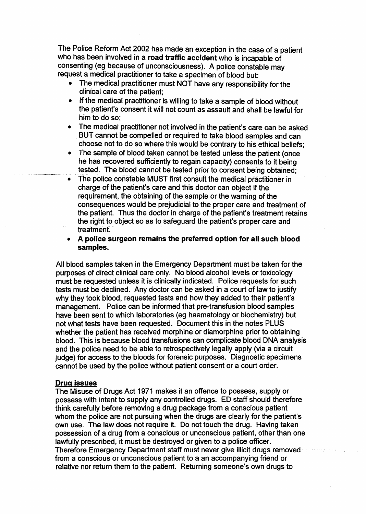The Police Reform Act 2002 has made an exception in the case of a patient who has been involved in a road traffic accident who is incapable of consenting (eg because of unconsciousness). A police constable may request a medical practitioner to take a specimen of blood but:

- The medical practitioner must NOT have any responsibility for the clinical care of the patient;
- If the medical practitioner is willing to take a sample of blood without the patient's consent it will not count as assault and shall be lawful for him to do so;
- The medical practitioner not involved in the patient's care can be asked . BUT cannot be compelled or required to take blood samples and can choose not to do so where this would be contrary to his ethical beliefs;
- The sample of blood taken cannot be tested unless the patient (once he has recovered sufficiently to regain capacity) consents to it being tested. The blood cannot be tested prior to consent being obtained;
- The police constable MUST first consult the medical practitioner in charge of the patient's care and this doctor can object if the requirement, the obtaining of the sample or the warning of the consequences would be prejudicial to the proper care and treatment of the patient. Thus the doctor in charge of the patient's treatment retains the right to object so as to safeguard the patient's proper care and treatment.
- A police surgeon remains the preferred option for all such blood samples.

All blood samples taken in the Emergency Department must be taken for the purposes of direct clinical care only. No blood alcohol levels or toxicology must be requested unless it is clinically indicated. Police requests for such tests must be declined. Any doctor can be asked in a court of law to justify why they took blood, requested tests and how they added to their patient's management. Police can be informed that pre-transfusion blood samples have been sent to which laboratories (eg haematology or biochemistry) but not what tests have been requested. Document this in the notes PLUS whether the patient has received morphine or diamorphine prior to obtaining blood. This is because blood transfusions can complicate blood DNA analysis and the police need to be able to retrospectively legally apply (via a circuit judge) for access to the bloods for forensic purposes. Diagnostic specimens cannot be used by the police without patient consent or a court order.

### Drug issues

The Misuse of Drugs Act 1971 makes it an offence to possess, supply or possess with intent to supply any controlled drugs. ED staff should therefore think carefully before removing a drug package from a conscious patient whom the police are not pursuing when the drugs are clearly for the patient's own use. The law does not require it. Do not touch the drug. Having taken possession of a drug from a conscious or unconscious patient, other than one lawfully prescribed, it must be destroyed or given to a police officer. Therefore Emergency Department staff must never give illicit drugs removed · from a conscious or unconscious patient to a an accompanying friend or relative nor return them to the patient. Returning someone's own drugs to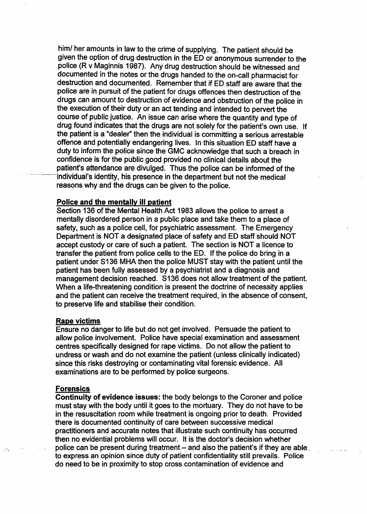him/ her amounts in law to the crime of supplying. The patient should be given the option of drug destruction in the ED or anonymous surrender to the police (R v Maginnis 1987). Any drug destruction should be witnessed and documented in the notes or the drugs handed to the on-call pharmacist for destruction and documented. Remember that if ED staff are aware that the police are in pursuit of the patient for drugs offences then destruction of the drugs can amount to destruction of evidence and obstruction of the police in the execution of their duty or an act tending and intended to pervert the course of public justice. An issue can arise where the quantity and type of drug found indicates that the drugs are not solely for the patient's own use. If the patient is a "dealer" then the individual is committing a serious arrestable offence and potentially endangering lives. In this situation ED staff have a duty to inform the police since the GMC acknowledge that such a breach in confidence is for the public good provided no clinical details about the patient's attendance are divulged. Thus the police can be informed of the individual's identity, his presence in the department but not the medical reasons why and the drugs can be given to the police.

#### Police and the mentally ill patient

Section 136 of the Mental Health Act 1983 allows the police to arrest a mentally disordered person in a public place and take them to a place of safety, such as a police cell, for psychiatric assessment. The Emergency Department is NOT a designated place of safety and ED staff should NOT accept custody or care of such a patient. The section is NOT a licence to transfer the patient from police cells to the ED. If the police do bring in a patient under 8136 MHA then the police MUST stay with the patient until the patient has been fully assessed by a psychiatrist and a diagnosis and management decision reached. S136 does not allow treatment of the patient. When a life-threatening condition is present the doctrine of necessity applies and the patient can receive the treatment required, in the absence of consent, to preserve life and stabilise their condition.

## Rape victims

Ensure no danger to life but do not get involved. Persuade the patient to allow police involvement. Police have special examination and assessment centres specifically designed for rape victims. Do not allow the patient to undress or wash and do not examine the patient (unless clinically indicated) since this risks destroying or contaminating vital forensic evidence. All examinations are to be performed by police surgeons.

### Forensics

Continuity of evidence issues: the body belongs to the Coroner and police must stay with the body until it goes to the mortuary. They do not have to be in the resuscitation room while treatment is ongoing prior to death. Provided there is documented continuity of care between successive medical practitioners and accurate notes that illustrate such continuity has occurred then no evidential problems will occur. It is the doctor's decision whether police can be present during treatment - and also the patient's if they are able to express an opinion since duty of patient confidentiality still prevails. Police do need to be in proximity to stop cross contamination of evidence and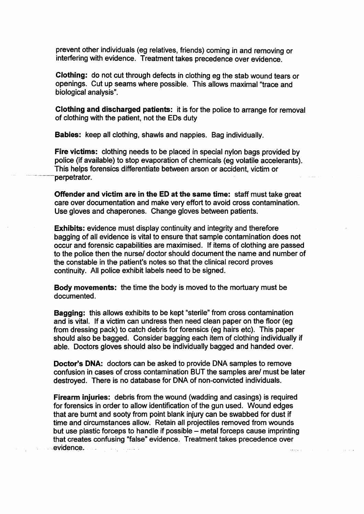prevent other individuals (eg relatives, friends) coming in and removing or interfering with evidence. Treatment takes precedence over evidence.

Clothing: do not cut through defects in clothing eg the stab wound tears or openings. Cut up seams where possible. This allows maximal "trace and biological analysis".

Clothing and discharged patients: it is for the police to arrange for removal of clothing with the patient, not the EDs duty

Babies: keep all clothing, shawls and nappies. Bag individually.

Fire victims: clothing needs to be placed in special nylon bags provided by police (if available) to stop evaporation of chemicals (eg volatile accelerants). This helps forensics differentiate between arson or accident, victim or perpetrator.

Offender and victim are in the ED at the same time: staff must take great care over documentation and make very effort to avoid cross contamination. Use gloves and chaperones. Change gloves between patients.

Exhibits: evidence must display continuity and integrity and therefore bagging of all evidence is vital to ensure that sample contamination does not occur and forensic capabilities are maximised. If items of clothing are passed to the police then the nurse/ doctor should document the name and number of the constable in the patient's notes so that the clinical record proves continuity. All police exhibit labels need to be signed.

Body movements: the time the body is moved to the mortuary must be documented.

Bagging: this allows exhibits to be kept "sterile" from cross contamination and is vital. If a victim can undress then need clean paper on the floor (eg from dressing pack) to catch debris for forensics (eg hairs etc). This paper should also be bagged. Consider bagging each item of clothing individually if able. Doctors gloves should also be individually bagged and handed over.

Doctor's DNA: doctors can be asked to provide DNA samples to remove confusion in cases of cross contamination BUT the samples are/ must be later destroyed. There is no database for DNA of non-convicted individuals.

Firearm injuries: debris from the wound (wadding and casings) is required for forensics in order to allow identification of the gun used. Wound edges that are burnt and sooty from point blank injury can be swabbed for dust if time and circumstances allow. Retain all projectiles removed from wounds but use plastic forceps to handle if possible – metal forceps cause imprinting that creates confusing "false" evidence. Treatment takes precedence over evidence.  $\sim 10^{-1}$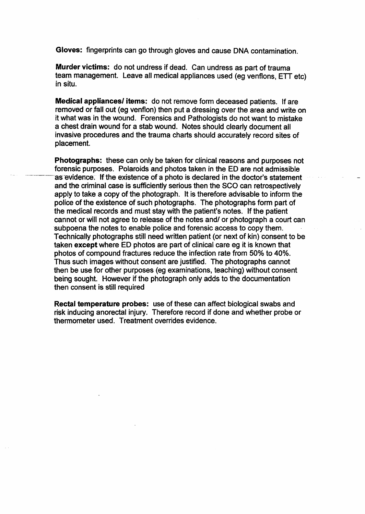Gloves: fingerprints can go through gloves and cause DNA contamination.

Murder victims: do not undress if dead. Can undress as part of trauma team management. Leave all medical appliances used (eg venflons, ETT etc) in situ.

Medical appliances/ items: do not remove form deceased patients. If are removed or fall out (eg venflon) then put a dressing over the area and write on it what was in the wound. Forensics and Pathologists do not want to mistake a chest drain wound for a stab wound. Notes should clearly document all invasive procedures and the trauma charts should accurately record sites of placement.

Photographs: these can only be taken for clinical reasons and purposes not forensic purposes. Polaroids and photos taken in the ED are not admissible as evidence. If the existence of a photo is declared in the doctor's statement and the criminal case is sufficiently serious then the SCO can retrospectively apply to take a copy of the photograph. It is therefore advisable to inform the police of the existence of such photographs. The photographs form part of the medical records and must stay with the patient's notes. If the patient cannot or will not agree to release of the notes and/ or photograph a court can subpoena the notes to enable police and forensic access to copy them. Technically photographs still need written patient (or next of kin) consent to be taken except where ED photos are part of clinical care eg it is known that photos of compound fractures reduce the infection rate from 50% to 40%. Thus such images without consent are justified. The photographs cannot then be use for other purposes (eg examinations, teaching) without consent being sought. However if the photograph only adds to the documentation then consent is still required

Rectal temperature probes: use of these can affect biological swabs and risk inducing anorectal injury. Therefore record if done and whether probe or thermometer used. Treatment overrides evidence.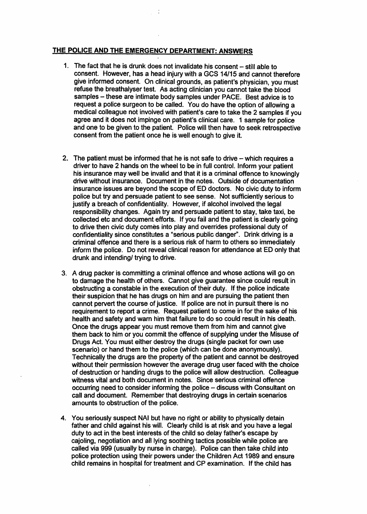### **THE POLICE AND THE EMERGENCY DEPARTMENT: ANSWERS**

- 1. The fact that he is drunk does not invalidate his consent still able to consent. However, has a head injury with a GCS 14/15 and cannot therefore give informed consent. On clinical grounds, as patient's physician, you must refuse the breathalyser test. As acting clinician you cannot take the blood samples – these are intimate body samples under PACE. Best advice is to request a police surgeon to be called. You do have the option of allowing a medical colleague not involved with patient's care to take the 2 samples if you agree and it does not impinge on patient's clinical care. 1 sample for police and one to be given to the patient. Police will then have to seek retrospective consent from the patient once he is well enough to give it.
- 2. The patient must be informed that he is not safe to drive which requires a driver to have 2 hands on the wheel to be in full control. Inform your patient his insurance may well be invalid and that it is a criminal offence to knowingly drive without insurance. Document in the notes. Outside of documentation insurance issues are beyond the scope of ED doctors. No civic duty to inform police but try and persuade patient to see sense. Not sufficiently serious to justify a breach of confidentiality. However, if alcohol involved the legal responsibility changes. Again try and persuade patient to stay, take taxi, be collected etc and document. efforts. If you fail and the patient is clearly going to drive then civic duty comes into play and overrides professional duty of confidentiality since constitutes a "serious public danger". Drink driving is a criminal offence and there is a serious risk of harm to others so immediately inform the police. Do not reveal clinical reason for attendance at ED only that drunk and intending/ trying to drive.
- 3. A drug packer is committing a criminal offence and whose actions will go on to damage the health of others. Cannot give guarantee since could result in obstructing a constable in the execution of their duty. If the police indicate their suspicion that he has drugs on him and are pursuing the patient then cannot pervert the course of justice. If police are not in pursuit there is no requirement to report a crime. Request patient to come in for the sake of his health and safety and warn him that failure to do so could result in his death. Once the drugs appear you must remove them from him and cannot give them back to him or you commit the offence of supplying under the Misuse of Drugs Act. You must either destroy the drugs (single packet for own use scenario) or hand them to the police (which can be done anonymously). Technically the drugs are the property of the patient and cannot be destroyed without their permission however the average drug user faced with the choice of destruction or handing drugs to the police will allow destruction. Colleague witness vital and both document in notes. Since serious criminal offence occurring need to consider informing the police – discuss with Consultant on call and document. Remember that destroying drugs in certain scenarios amounts to obstruction of the police.
- 4. You seriously suspect NAI but have no right or ability to physically detain father and child against his will. Clearly child is at risk and you have a legal duty to act in the best interests of the child so delay father's escape by cajoling, negotiation and all lying soothing tactics possible while police are called via 999 (usually by nurse in charge). Police can then take child into police protection using their powers under the Children Act 1989 and ensure child remains in hospital fof treatment and CP examination. If the child has